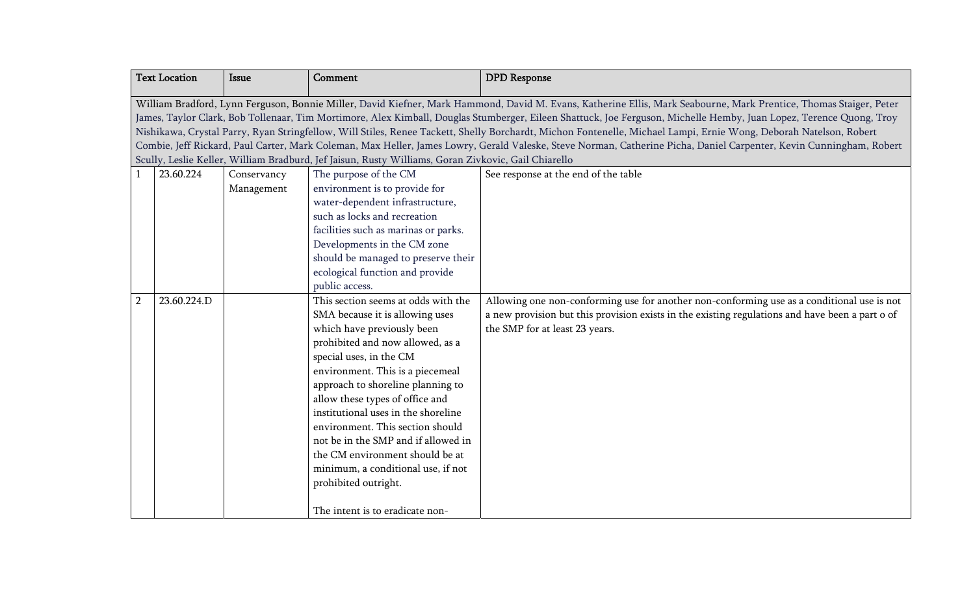|                | <b>Text Location</b>                                                                                                                                               | <b>Issue</b> | Comment                                                                                             | <b>DPD</b> Response                                                                                                                                                 |
|----------------|--------------------------------------------------------------------------------------------------------------------------------------------------------------------|--------------|-----------------------------------------------------------------------------------------------------|---------------------------------------------------------------------------------------------------------------------------------------------------------------------|
|                | William Bradford, Lynn Ferguson, Bonnie Miller, David Kiefner, Mark Hammond, David M. Evans, Katherine Ellis, Mark Seabourne, Mark Prentice, Thomas Staiger, Peter |              |                                                                                                     |                                                                                                                                                                     |
|                |                                                                                                                                                                    |              |                                                                                                     | James, Taylor Clark, Bob Tollenaar, Tim Mortimore, Alex Kimball, Douglas Stumberger, Eileen Shattuck, Joe Ferguson, Michelle Hemby, Juan Lopez, Terence Quong, Troy |
|                |                                                                                                                                                                    |              |                                                                                                     | Nishikawa, Crystal Parry, Ryan Stringfellow, Will Stiles, Renee Tackett, Shelly Borchardt, Michon Fontenelle, Michael Lampi, Ernie Wong, Deborah Natelson, Robert   |
|                |                                                                                                                                                                    |              | Scully, Leslie Keller, William Bradburd, Jef Jaisun, Rusty Williams, Goran Zivkovic, Gail Chiarello | Combie, Jeff Rickard, Paul Carter, Mark Coleman, Max Heller, James Lowry, Gerald Valeske, Steve Norman, Catherine Picha, Daniel Carpenter, Kevin Cunningham, Robert |
|                | 23.60.224                                                                                                                                                          | Conservancy  | The purpose of the CM                                                                               | See response at the end of the table                                                                                                                                |
|                |                                                                                                                                                                    | Management   | environment is to provide for                                                                       |                                                                                                                                                                     |
|                |                                                                                                                                                                    |              | water-dependent infrastructure,                                                                     |                                                                                                                                                                     |
|                |                                                                                                                                                                    |              | such as locks and recreation                                                                        |                                                                                                                                                                     |
|                |                                                                                                                                                                    |              | facilities such as marinas or parks.                                                                |                                                                                                                                                                     |
|                |                                                                                                                                                                    |              | Developments in the CM zone                                                                         |                                                                                                                                                                     |
|                |                                                                                                                                                                    |              | should be managed to preserve their                                                                 |                                                                                                                                                                     |
|                |                                                                                                                                                                    |              | ecological function and provide                                                                     |                                                                                                                                                                     |
|                |                                                                                                                                                                    |              | public access.                                                                                      |                                                                                                                                                                     |
| $\overline{2}$ | 23.60.224.D                                                                                                                                                        |              | This section seems at odds with the                                                                 | Allowing one non-conforming use for another non-conforming use as a conditional use is not                                                                          |
|                |                                                                                                                                                                    |              | SMA because it is allowing uses                                                                     | a new provision but this provision exists in the existing regulations and have been a part o of                                                                     |
|                |                                                                                                                                                                    |              | which have previously been                                                                          | the SMP for at least 23 years.                                                                                                                                      |
|                |                                                                                                                                                                    |              | prohibited and now allowed, as a                                                                    |                                                                                                                                                                     |
|                |                                                                                                                                                                    |              | special uses, in the CM                                                                             |                                                                                                                                                                     |
|                |                                                                                                                                                                    |              | environment. This is a piecemeal                                                                    |                                                                                                                                                                     |
|                |                                                                                                                                                                    |              | approach to shoreline planning to                                                                   |                                                                                                                                                                     |
|                |                                                                                                                                                                    |              | allow these types of office and<br>institutional uses in the shoreline                              |                                                                                                                                                                     |
|                |                                                                                                                                                                    |              | environment. This section should                                                                    |                                                                                                                                                                     |
|                |                                                                                                                                                                    |              | not be in the SMP and if allowed in                                                                 |                                                                                                                                                                     |
|                |                                                                                                                                                                    |              | the CM environment should be at                                                                     |                                                                                                                                                                     |
|                |                                                                                                                                                                    |              | minimum, a conditional use, if not                                                                  |                                                                                                                                                                     |
|                |                                                                                                                                                                    |              | prohibited outright.                                                                                |                                                                                                                                                                     |
|                |                                                                                                                                                                    |              |                                                                                                     |                                                                                                                                                                     |
|                |                                                                                                                                                                    |              | The intent is to eradicate non-                                                                     |                                                                                                                                                                     |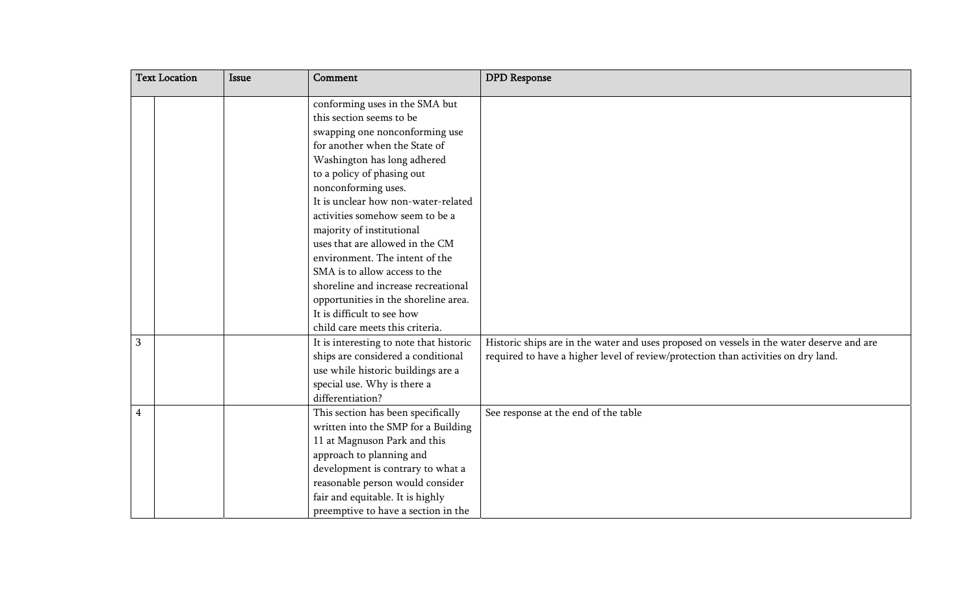| <b>Text Location</b> |  | Issue | Comment                                                    | <b>DPD</b> Response                                                                       |
|----------------------|--|-------|------------------------------------------------------------|-------------------------------------------------------------------------------------------|
|                      |  |       | conforming uses in the SMA but<br>this section seems to be |                                                                                           |
|                      |  |       | swapping one nonconforming use                             |                                                                                           |
|                      |  |       | for another when the State of                              |                                                                                           |
|                      |  |       | Washington has long adhered                                |                                                                                           |
|                      |  |       | to a policy of phasing out                                 |                                                                                           |
|                      |  |       | nonconforming uses.                                        |                                                                                           |
|                      |  |       | It is unclear how non-water-related                        |                                                                                           |
|                      |  |       | activities somehow seem to be a                            |                                                                                           |
|                      |  |       | majority of institutional                                  |                                                                                           |
|                      |  |       | uses that are allowed in the CM                            |                                                                                           |
|                      |  |       | environment. The intent of the                             |                                                                                           |
|                      |  |       | SMA is to allow access to the                              |                                                                                           |
|                      |  |       | shoreline and increase recreational                        |                                                                                           |
|                      |  |       | opportunities in the shoreline area.                       |                                                                                           |
|                      |  |       | It is difficult to see how                                 |                                                                                           |
|                      |  |       | child care meets this criteria.                            |                                                                                           |
| 3                    |  |       | It is interesting to note that historic                    | Historic ships are in the water and uses proposed on vessels in the water deserve and are |
|                      |  |       | ships are considered a conditional                         | required to have a higher level of review/protection than activities on dry land.         |
|                      |  |       | use while historic buildings are a                         |                                                                                           |
|                      |  |       | special use. Why is there a                                |                                                                                           |
|                      |  |       | differentiation?                                           |                                                                                           |
| 4                    |  |       | This section has been specifically                         | See response at the end of the table                                                      |
|                      |  |       | written into the SMP for a Building                        |                                                                                           |
|                      |  |       | 11 at Magnuson Park and this                               |                                                                                           |
|                      |  |       | approach to planning and                                   |                                                                                           |
|                      |  |       | development is contrary to what a                          |                                                                                           |
|                      |  |       | reasonable person would consider                           |                                                                                           |
|                      |  |       | fair and equitable. It is highly                           |                                                                                           |
|                      |  |       | preemptive to have a section in the                        |                                                                                           |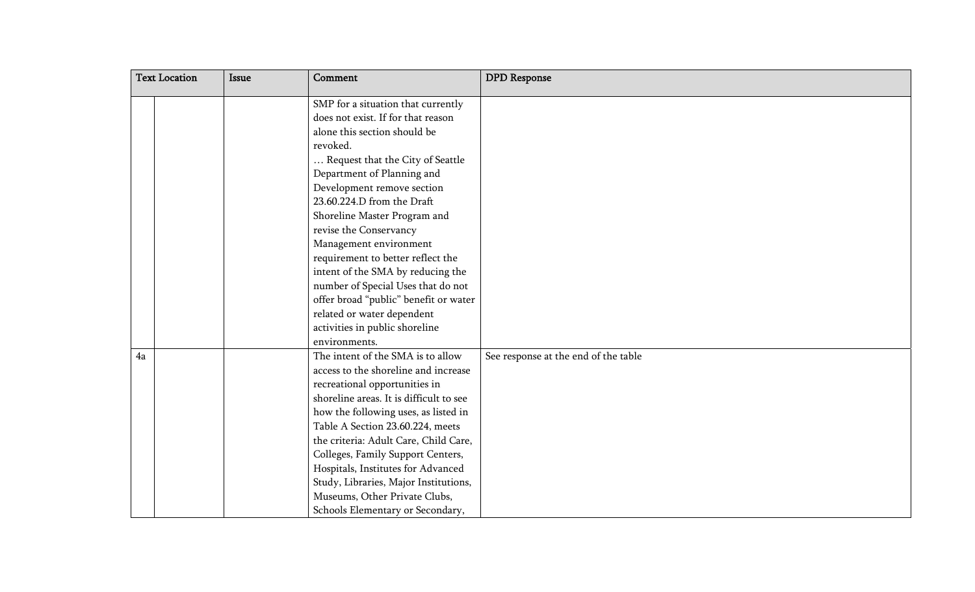| <b>Text Location</b> |  | Issue | Comment                                 | <b>DPD</b> Response                  |
|----------------------|--|-------|-----------------------------------------|--------------------------------------|
|                      |  |       | SMP for a situation that currently      |                                      |
|                      |  |       | does not exist. If for that reason      |                                      |
|                      |  |       | alone this section should be            |                                      |
|                      |  |       | revoked.                                |                                      |
|                      |  |       | Request that the City of Seattle        |                                      |
|                      |  |       | Department of Planning and              |                                      |
|                      |  |       | Development remove section              |                                      |
|                      |  |       | 23.60.224.D from the Draft              |                                      |
|                      |  |       | Shoreline Master Program and            |                                      |
|                      |  |       | revise the Conservancy                  |                                      |
|                      |  |       | Management environment                  |                                      |
|                      |  |       | requirement to better reflect the       |                                      |
|                      |  |       | intent of the SMA by reducing the       |                                      |
|                      |  |       | number of Special Uses that do not      |                                      |
|                      |  |       | offer broad "public" benefit or water   |                                      |
|                      |  |       | related or water dependent              |                                      |
|                      |  |       | activities in public shoreline          |                                      |
|                      |  |       | environments.                           |                                      |
| 4a                   |  |       | The intent of the SMA is to allow       | See response at the end of the table |
|                      |  |       | access to the shoreline and increase    |                                      |
|                      |  |       | recreational opportunities in           |                                      |
|                      |  |       | shoreline areas. It is difficult to see |                                      |
|                      |  |       | how the following uses, as listed in    |                                      |
|                      |  |       | Table A Section 23.60.224, meets        |                                      |
|                      |  |       | the criteria: Adult Care, Child Care,   |                                      |
|                      |  |       | Colleges, Family Support Centers,       |                                      |
|                      |  |       | Hospitals, Institutes for Advanced      |                                      |
|                      |  |       | Study, Libraries, Major Institutions,   |                                      |
|                      |  |       | Museums, Other Private Clubs,           |                                      |
|                      |  |       | Schools Elementary or Secondary,        |                                      |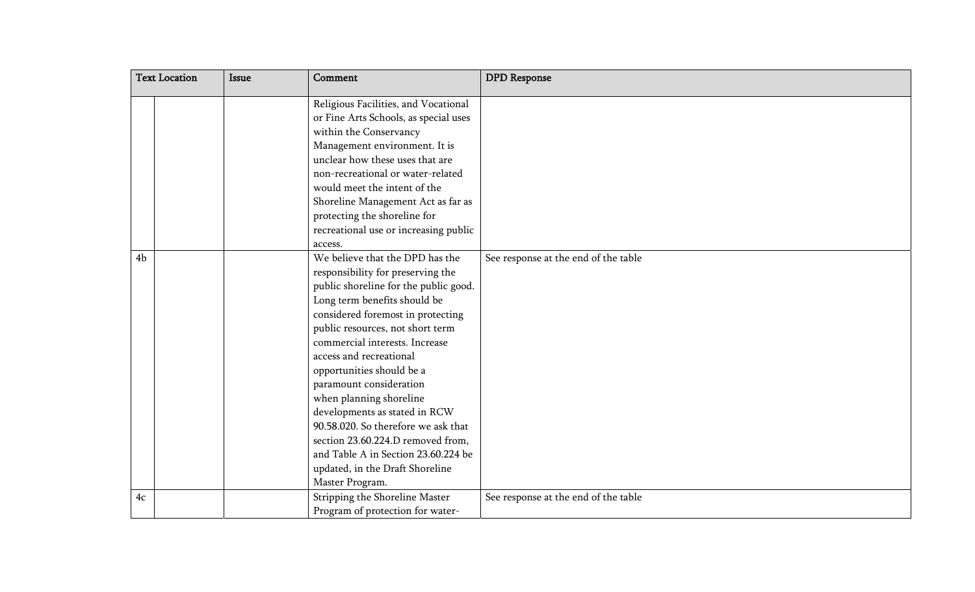| <b>Text Location</b> | Issue | Comment                               | <b>DPD</b> Response                  |
|----------------------|-------|---------------------------------------|--------------------------------------|
|                      |       | Religious Facilities, and Vocational  |                                      |
|                      |       | or Fine Arts Schools, as special uses |                                      |
|                      |       | within the Conservancy                |                                      |
|                      |       | Management environment. It is         |                                      |
|                      |       | unclear how these uses that are       |                                      |
|                      |       | non-recreational or water-related     |                                      |
|                      |       | would meet the intent of the          |                                      |
|                      |       | Shoreline Management Act as far as    |                                      |
|                      |       | protecting the shoreline for          |                                      |
|                      |       | recreational use or increasing public |                                      |
|                      |       | access.                               |                                      |
| 4 <sub>b</sub>       |       | We believe that the DPD has the       | See response at the end of the table |
|                      |       | responsibility for preserving the     |                                      |
|                      |       | public shoreline for the public good. |                                      |
|                      |       | Long term benefits should be          |                                      |
|                      |       | considered foremost in protecting     |                                      |
|                      |       | public resources, not short term      |                                      |
|                      |       | commercial interests. Increase        |                                      |
|                      |       | access and recreational               |                                      |
|                      |       | opportunities should be a             |                                      |
|                      |       | paramount consideration               |                                      |
|                      |       | when planning shoreline               |                                      |
|                      |       | developments as stated in RCW         |                                      |
|                      |       | 90.58.020. So therefore we ask that   |                                      |
|                      |       | section 23.60.224.D removed from,     |                                      |
|                      |       | and Table A in Section 23.60.224 be   |                                      |
|                      |       | updated, in the Draft Shoreline       |                                      |
|                      |       | Master Program.                       |                                      |
| $4\mathrm{c}$        |       | Stripping the Shoreline Master        | See response at the end of the table |
|                      |       | Program of protection for water-      |                                      |